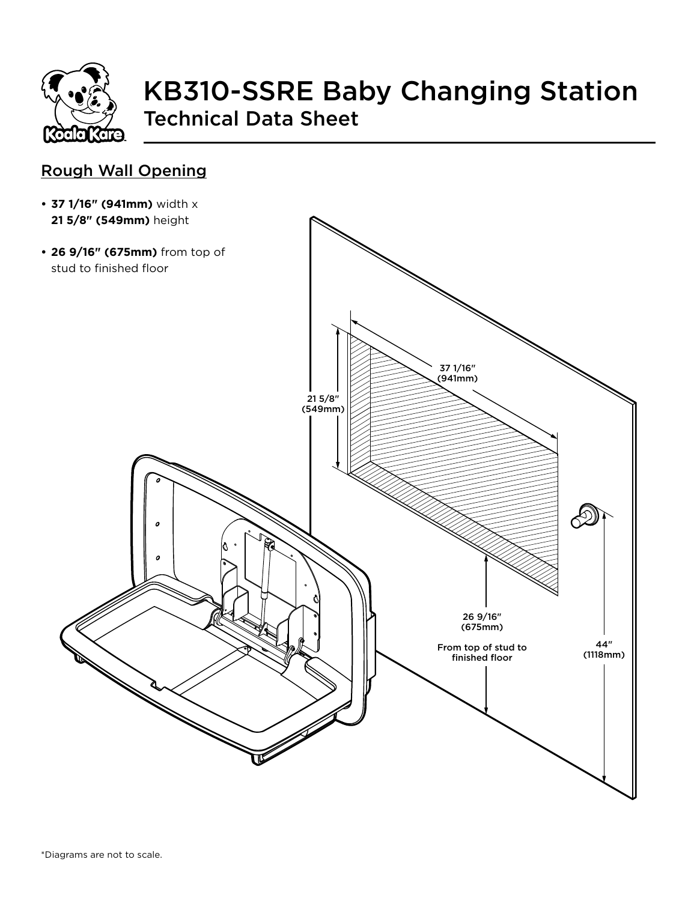

# KB310-SSRE Baby Changing Station Technical Data Sheet

#### Rough Wall Opening

- **• 37 1/16" (941mm)** width x **21 5/8" (549mm)** height
- **• 26 9/16" (675mm)** from top of stud to finished floor37 1/16" (941mm) 21 5/8" (549mm)  $\infty$  $\boldsymbol{c}$  $\overline{a}$ 26 9/16" (675mm) 44" From top of stud to (1118mm) finished floor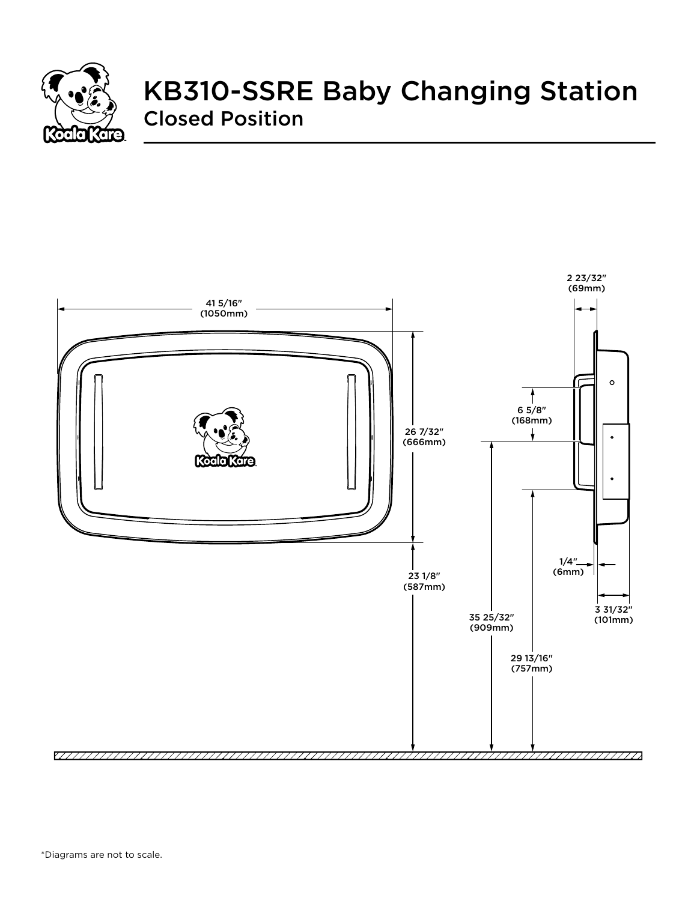

## KB310-SSRE Baby Changing Station Closed Position

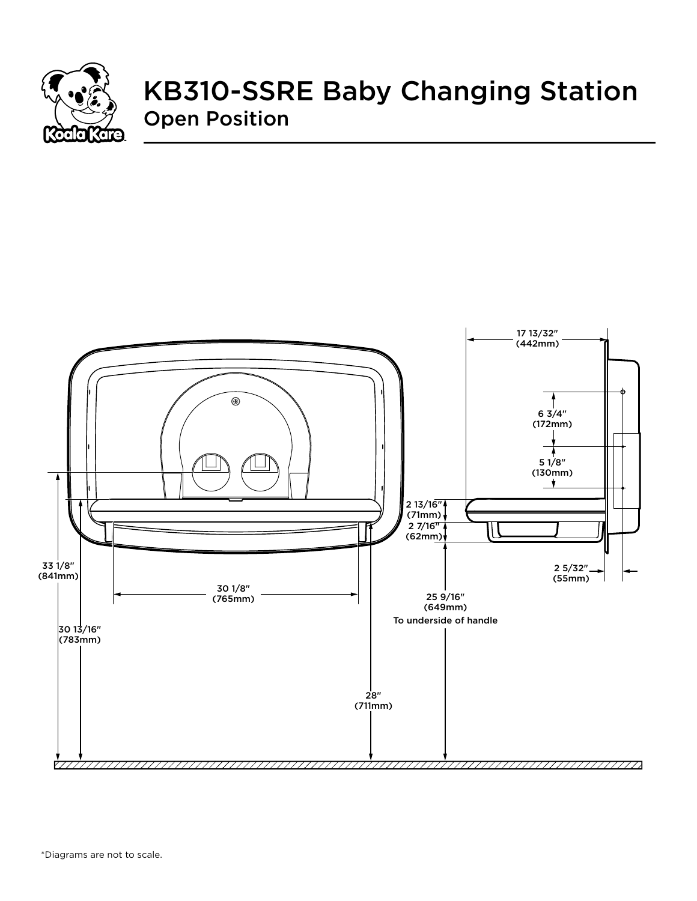

## KB310-SSRE Baby Changing Station Open Position